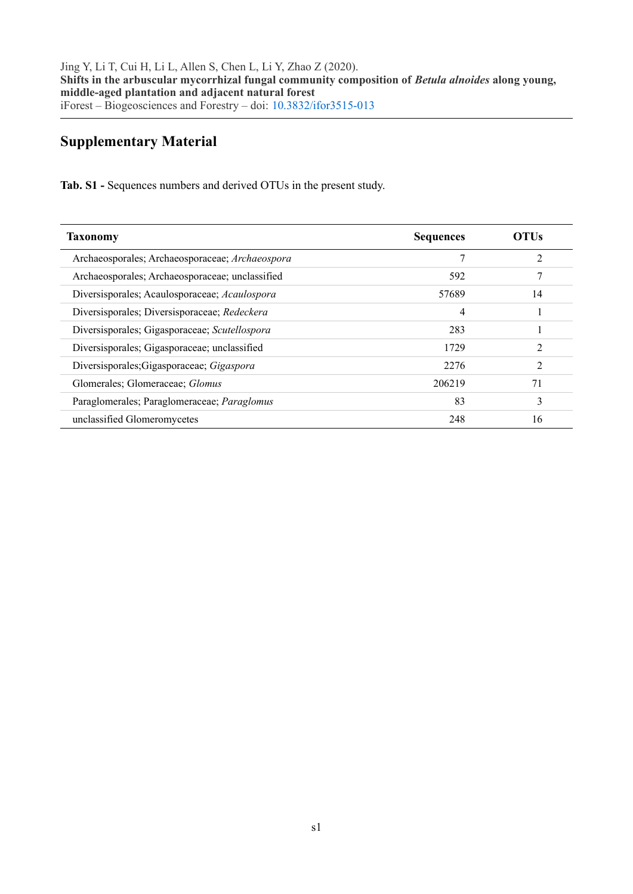## **Supplementary Material**

**Tab. S1 -** Sequences numbers and derived OTUs in the present study.

| <b>Taxonomy</b>                                 | <b>Sequences</b> | OTUs           |
|-------------------------------------------------|------------------|----------------|
| Archaeosporales; Archaeosporaceae; Archaeospora | 7                | $\mathfrak{D}$ |
| Archaeosporales; Archaeosporaceae; unclassified | 592              |                |
| Diversisporales; Acaulosporaceae; Acaulospora   | 57689            | 14             |
| Diversisporales; Diversisporaceae; Redeckera    | 4                |                |
| Diversisporales; Gigasporaceae; Scutellospora   | 283              |                |
| Diversisporales; Gigasporaceae; unclassified    | 1729             | $\mathfrak{D}$ |
| Diversisporales; Gigasporaceae; Gigaspora       | 22.76            | $\mathfrak{D}$ |
| Glomerales; Glomeraceae; Glomus                 | 206219           | 71             |
| Paraglomerales; Paraglomeraceae; Paraglomus     | 83               | 3              |
| unclassified Glomeromycetes                     | 248              | 16             |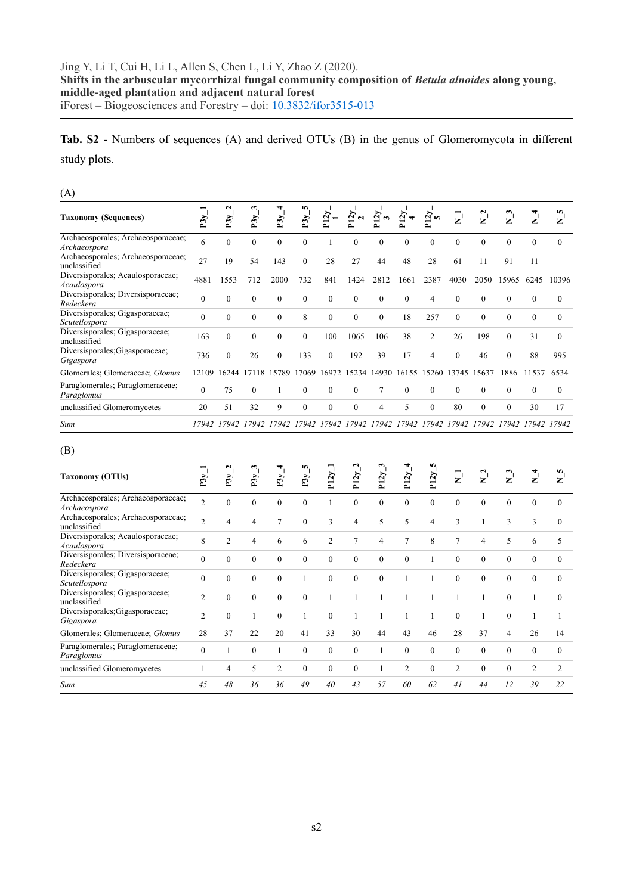**Tab. S2** - Numbers of sequences (A) and derived OTUs (B) in the genus of Glomeromycota in different study plots.

(A)

| <b>Taxonomy (Sequences)</b>                        | P3y      | $\mathbf \Omega$<br>P3y | P3y          | P3y      | n<br>P3y     | $\overline{2}$ | 2y           | 2y                | N            | $\frac{2}{5}$  | $\overline{z}$ | $\frac{2}{2}$ | $\mathbf{z}^{\prime}$ | z        | n<br>z       |
|----------------------------------------------------|----------|-------------------------|--------------|----------|--------------|----------------|--------------|-------------------|--------------|----------------|----------------|---------------|-----------------------|----------|--------------|
| Archaeosporales; Archaeosporaceae;<br>Archaeospora | 6        | $\mathbf{0}$            | $\mathbf{0}$ | $\Omega$ | $\mathbf{0}$ |                | $\mathbf{0}$ | $\mathbf{0}$      | $\mathbf{0}$ | $\mathbf{0}$   | $\theta$       | $\mathbf{0}$  | $\theta$              | $\theta$ | $\mathbf{0}$ |
| Archaeosporales; Archaeosporaceae;<br>unclassified | 27       | 19                      | 54           | 143      | $\theta$     | 28             | 27           | 44                | 48           | 28             | 61             | 11            | 91                    | 11       |              |
| Diversisporales; Acaulosporaceae;<br>Acaulospora   | 4881     | 1553                    | 712          | 2000     | 732          | 841            | 1424         | 2812              | 1661         | 2387           | 4030           | 2050          | 15965                 | 6245     | 10396        |
| Diversisporales; Diversisporaceae;<br>Redeckera    | $\theta$ | $\Omega$                | $\Omega$     | $\theta$ | $\theta$     | $\theta$       | $\theta$     | $\theta$          | $\mathbf{0}$ | 4              | $\theta$       | $\theta$      | $\theta$              | $\theta$ | $\Omega$     |
| Diversisporales; Gigasporaceae;<br>Scutellospora   | $\theta$ | $\Omega$                | $\Omega$     | $\theta$ | 8            | $\Omega$       | $\theta$     | $\theta$          | 18           | 257            | $\theta$       | $\theta$      | $\theta$              | $\Omega$ | $\Omega$     |
| Diversisporales; Gigasporaceae;<br>unclassified    | 163      | $\Omega$                | $\mathbf{0}$ | $\theta$ | $\theta$     | 100            | 1065         | 106               | 38           | $\overline{2}$ | 26             | 198           | $\theta$              | 31       | $\mathbf{0}$ |
| Diversisporales; Gigasporaceae;<br>Gigaspora       | 736      | $\Omega$                | 26           | $\theta$ | 133          | $\Omega$       | 192          | 39                | 17           | 4              | $\theta$       | 46            | $\theta$              | 88       | 995          |
| Glomerales; Glomeraceae; Glomus                    | 12109    | 16244                   | 17118        | 15789    | 17069        | 16972          |              | 15234 14930 16155 |              | 15260          | 13745          | 15637         | 1886                  | 11537    | 6534         |
| Paraglomerales; Paraglomeraceae;<br>Paraglomus     | $\theta$ | 75                      | $\theta$     |          | $\theta$     | $\Omega$       | $\Omega$     | 7                 | $\theta$     | $\theta$       | $\Omega$       | $\theta$      | $\theta$              | $\Omega$ | $\Omega$     |
| unclassified Glomeromycetes                        | 20       | 51                      | 32           | 9        | $\theta$     | $\theta$       | $\theta$     | 4                 | 5            | $\theta$       | 80             | $\theta$      | $\theta$              | 30       | 17           |
| Sum                                                | 17942    | 17942                   | 17942        | 17942    | 17942        | 17942          | 17942        | 17942             |              | 17942 17942    | 17942          | 17942         | 17942                 | 17942    | 17942        |

## (B)

| <b>Taxonomy (OTUs)</b>                             | ➢<br>É         | N<br>P3y       | P3y          | ᢦ<br>P3y       | m,<br>P3y | P12y           | $\tilde{\phantom{a}}$<br>P12y | ఌ<br>P12y | 4<br>P12y    | S.<br>P12y   | $\mathbf{z}$   | $\mathbf{z}^{\mathsf{I}}$ | $\mathbf{z}^{\prime}$ | $\mathbf{z}^{\prime}$       | n<br>$\mathbf{z}^{\prime}$ |
|----------------------------------------------------|----------------|----------------|--------------|----------------|-----------|----------------|-------------------------------|-----------|--------------|--------------|----------------|---------------------------|-----------------------|-----------------------------|----------------------------|
| Archaeosporales; Archaeosporaceae;<br>Archaeospora | $\overline{2}$ | $\theta$       | $\mathbf{0}$ | $\theta$       | $\theta$  |                | $\theta$                      | $\Omega$  | $\mathbf{0}$ | $\mathbf{0}$ | $\theta$       | $\mathbf{0}$              | $\theta$              | $\Omega$                    | $\mathbf{0}$               |
| Archaeosporales; Archaeosporaceae;<br>unclassified | $\overline{2}$ | 4              | 4            | $\tau$         | $\theta$  | 3              | 4                             | 5         | 5            | 4            | 3              |                           | 3                     | 3                           | $\mathbf{0}$               |
| Diversisporales; Acaulosporaceae;<br>Acaulospora   | 8              | $\overline{2}$ | 4            | 6              | 6         | $\overline{2}$ | 7                             | 4         | 7            | 8            | 7              | 4                         | 5                     | 6                           | 5                          |
| Diversisporales; Diversisporaceae;<br>Redeckera    | $\Omega$       | $\theta$       | $\mathbf{0}$ | $\theta$       | $\theta$  | $\theta$       | $\Omega$                      | $\theta$  | $\theta$     |              | $\Omega$       | $\theta$                  | $\theta$              | $\Omega$                    | $\theta$                   |
| Diversisporales; Gigasporaceae;<br>Scutellospora   | $\theta$       | $\Omega$       | $\mathbf{0}$ | $\theta$       |           | $\theta$       | $\theta$                      | $\theta$  |              |              | $\theta$       | $\theta$                  | $\theta$              | $\Omega$                    | $\Omega$                   |
| Diversisporales; Gigasporaceae;<br>unclassified    | $\overline{2}$ | $\Omega$       | $\mathbf{0}$ | $\theta$       | $\theta$  |                |                               |           |              |              |                |                           | $\theta$              |                             | $\theta$                   |
| Diversisporales; Gigasporaceae;<br>Gigaspora       | $\overline{2}$ | $\Omega$       | 1            | $\theta$       |           | $\theta$       |                               | 1         |              |              | $\Omega$       |                           | $\theta$              |                             |                            |
| Glomerales; Glomeraceae; Glomus                    | 28             | 37             | 22           | 20             | 41        | 33             | 30                            | 44        | 43           | 46           | 28             | 37                        | 4                     | 26                          | 14                         |
| Paraglomerales; Paraglomeraceae;<br>Paraglomus     | $\Omega$       |                | $\Omega$     |                | $\Omega$  | $\theta$       | $\Omega$                      |           | $\theta$     | $\mathbf{0}$ | $\theta$       | $\theta$                  | $\Omega$              | $\Omega$                    | $\theta$                   |
| unclassified Glomeromycetes                        |                | 4              | 5            | $\overline{2}$ | $\theta$  | $\theta$       | $\theta$                      |           | 2            | $\mathbf{0}$ | $\overline{c}$ | $\theta$                  | $\Omega$              | $\mathcal{D}_{\mathcal{L}}$ | $\overline{2}$             |
| Sum                                                | 45             | 48             | 36           | 36             | 49        | 40             | 43                            | 57        | 60           | 62           | 41             | 44                        | 12                    | 39                          | 22                         |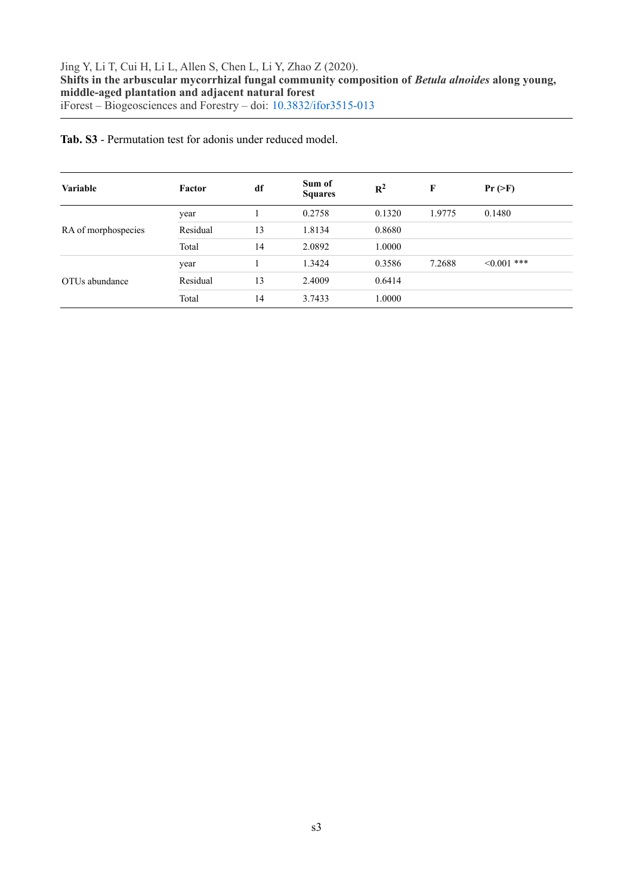**Tab. S3** - Permutation test for adonis under reduced model.

| <b>Variable</b>     | Factor   | df | Sum of<br><b>Squares</b> | $R^2$  | F      | $Pr(>\)$         |  |
|---------------------|----------|----|--------------------------|--------|--------|------------------|--|
|                     | year     |    | 0.2758                   | 0.1320 | 1.9775 | 0.1480           |  |
| RA of morphospecies | Residual | 13 | 1.8134                   | 0.8680 |        |                  |  |
|                     | Total    | 14 | 2.0892                   | 1.0000 |        |                  |  |
| OTUs abundance      | year     |    | 1.3424                   | 0.3586 | 7.2688 | $\leq 0.001$ *** |  |
|                     | Residual | 13 | 2.4009                   | 0.6414 |        |                  |  |
|                     | Total    | 14 | 3.7433                   | 1.0000 |        |                  |  |